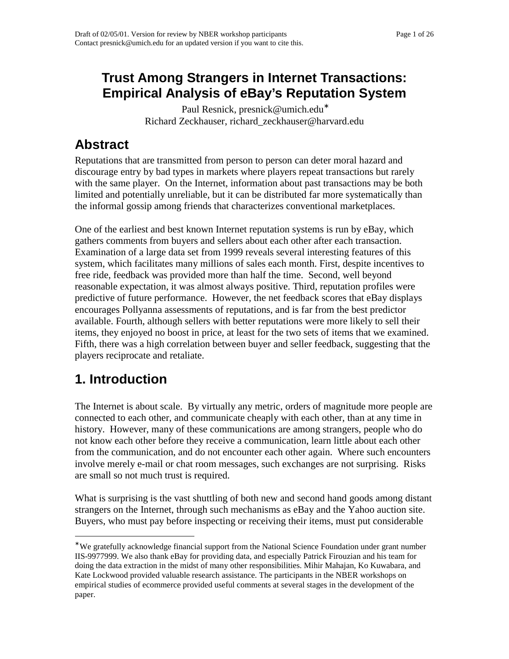## **Trust Among Strangers in Internet Transactions: Empirical Analysis of eBay's Reputation System**

Paul Resnick, presnick@umich.edu<sup>∗</sup> Richard Zeckhauser, richard\_zeckhauser@harvard.edu

## **Abstract**

Reputations that are transmitted from person to person can deter moral hazard and discourage entry by bad types in markets where players repeat transactions but rarely with the same player. On the Internet, information about past transactions may be both limited and potentially unreliable, but it can be distributed far more systematically than the informal gossip among friends that characterizes conventional marketplaces.

One of the earliest and best known Internet reputation systems is run by eBay, which gathers comments from buyers and sellers about each other after each transaction. Examination of a large data set from 1999 reveals several interesting features of this system, which facilitates many millions of sales each month. First, despite incentives to free ride, feedback was provided more than half the time. Second, well beyond reasonable expectation, it was almost always positive. Third, reputation profiles were predictive of future performance. However, the net feedback scores that eBay displays encourages Pollyanna assessments of reputations, and is far from the best predictor available. Fourth, although sellers with better reputations were more likely to sell their items, they enjoyed no boost in price, at least for the two sets of items that we examined. Fifth, there was a high correlation between buyer and seller feedback, suggesting that the players reciprocate and retaliate.

## **1. Introduction**

 $\overline{a}$ 

The Internet is about scale. By virtually any metric, orders of magnitude more people are connected to each other, and communicate cheaply with each other, than at any time in history. However, many of these communications are among strangers, people who do not know each other before they receive a communication, learn little about each other from the communication, and do not encounter each other again. Where such encounters involve merely e-mail or chat room messages, such exchanges are not surprising. Risks are small so not much trust is required.

What is surprising is the vast shuttling of both new and second hand goods among distant strangers on the Internet, through such mechanisms as eBay and the Yahoo auction site. Buyers, who must pay before inspecting or receiving their items, must put considerable

<sup>∗</sup> We gratefully acknowledge financial support from the National Science Foundation under grant number IIS-9977999. We also thank eBay for providing data, and especially Patrick Firouzian and his team for doing the data extraction in the midst of many other responsibilities. Mihir Mahajan, Ko Kuwabara, and Kate Lockwood provided valuable research assistance. The participants in the NBER workshops on empirical studies of ecommerce provided useful comments at several stages in the development of the paper.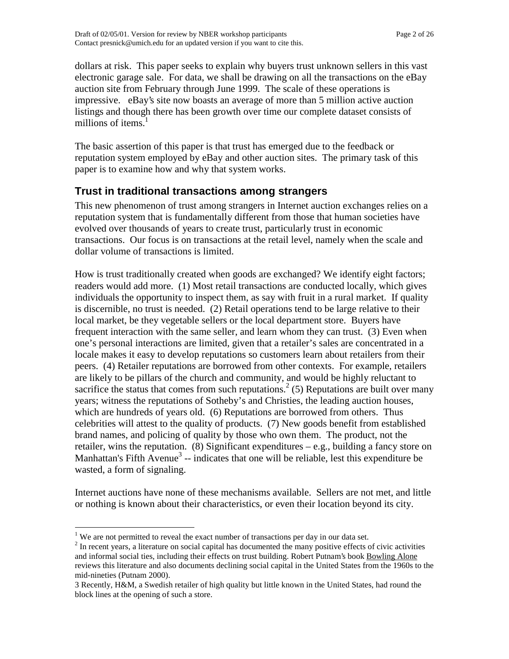dollars at risk. This paper seeks to explain why buyers trust unknown sellers in this vast electronic garage sale. For data, we shall be drawing on all the transactions on the eBay auction site from February through June 1999. The scale of these operations is impressive. eBay's site now boasts an average of more than 5 million active auction listings and though there has been growth over time our complete dataset consists of millions of items. $<sup>1</sup>$ </sup>

The basic assertion of this paper is that trust has emerged due to the feedback or reputation system employed by eBay and other auction sites. The primary task of this paper is to examine how and why that system works.

#### **Trust in traditional transactions among strangers**

This new phenomenon of trust among strangers in Internet auction exchanges relies on a reputation system that is fundamentally different from those that human societies have evolved over thousands of years to create trust, particularly trust in economic transactions. Our focus is on transactions at the retail level, namely when the scale and dollar volume of transactions is limited.

How is trust traditionally created when goods are exchanged? We identify eight factors; readers would add more. (1) Most retail transactions are conducted locally, which gives individuals the opportunity to inspect them, as say with fruit in a rural market. If quality is discernible, no trust is needed. (2) Retail operations tend to be large relative to their local market, be they vegetable sellers or the local department store. Buyers have frequent interaction with the same seller, and learn whom they can trust. (3) Even when one's personal interactions are limited, given that a retailer's sales are concentrated in a locale makes it easy to develop reputations so customers learn about retailers from their peers. (4) Retailer reputations are borrowed from other contexts. For example, retailers are likely to be pillars of the church and community, and would be highly reluctant to sacrifice the status that comes from such reputations.<sup>2</sup> (5) Reputations are built over many years; witness the reputations of Sotheby's and Christies, the leading auction houses, which are hundreds of years old. (6) Reputations are borrowed from others. Thus celebrities will attest to the quality of products. (7) New goods benefit from established brand names, and policing of quality by those who own them. The product, not the retailer, wins the reputation.  $(8)$  Significant expenditures – e.g., building a fancy store on Manhattan's Fifth Avenue<sup>3</sup> -- indicates that one will be reliable, lest this expenditure be wasted, a form of signaling.

Internet auctions have none of these mechanisms available. Sellers are not met, and little or nothing is known about their characteristics, or even their location beyond its city.

 $\overline{a}$ <sup>1</sup> We are not permitted to reveal the exact number of transactions per day in our data set.

 $2$  In recent years, a literature on social capital has documented the many positive effects of civic activities and informal social ties, including their effects on trust building. Robert Putnam's book Bowling Alone reviews this literature and also documents declining social capital in the United States from the 1960s to the mid-nineties (Putnam 2000).

<sup>3</sup> Recently, H&M, a Swedish retailer of high quality but little known in the United States, had round the block lines at the opening of such a store.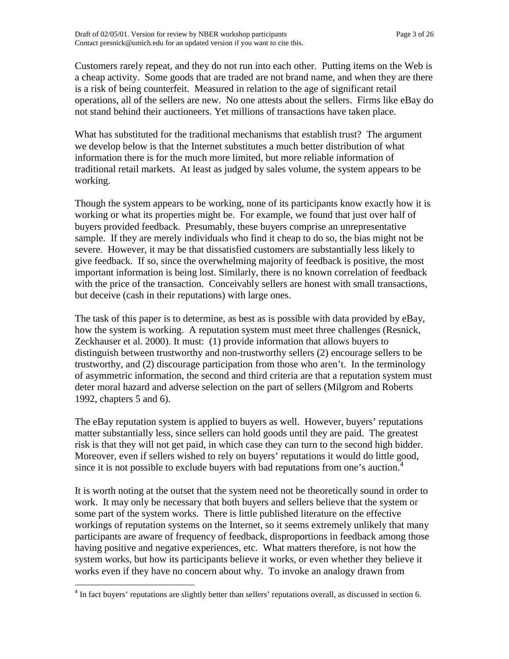Customers rarely repeat, and they do not run into each other. Putting items on the Web is a cheap activity. Some goods that are traded are not brand name, and when they are there is a risk of being counterfeit. Measured in relation to the age of significant retail operations, all of the sellers are new. No one attests about the sellers. Firms like eBay do not stand behind their auctioneers. Yet millions of transactions have taken place.

What has substituted for the traditional mechanisms that establish trust? The argument we develop below is that the Internet substitutes a much better distribution of what information there is for the much more limited, but more reliable information of traditional retail markets. At least as judged by sales volume, the system appears to be working.

Though the system appears to be working, none of its participants know exactly how it is working or what its properties might be. For example, we found that just over half of buyers provided feedback. Presumably, these buyers comprise an unrepresentative sample. If they are merely individuals who find it cheap to do so, the bias might not be severe. However, it may be that dissatisfied customers are substantially less likely to give feedback. If so, since the overwhelming majority of feedback is positive, the most important information is being lost. Similarly, there is no known correlation of feedback with the price of the transaction. Conceivably sellers are honest with small transactions, but deceive (cash in their reputations) with large ones.

The task of this paper is to determine, as best as is possible with data provided by eBay, how the system is working. A reputation system must meet three challenges (Resnick, Zeckhauser et al. 2000). It must: (1) provide information that allows buyers to distinguish between trustworthy and non-trustworthy sellers (2) encourage sellers to be trustworthy, and (2) discourage participation from those who aren't. In the terminology of asymmetric information, the second and third criteria are that a reputation system must deter moral hazard and adverse selection on the part of sellers (Milgrom and Roberts 1992, chapters 5 and 6).

The eBay reputation system is applied to buyers as well. However, buyers' reputations matter substantially less, since sellers can hold goods until they are paid. The greatest risk is that they will not get paid, in which case they can turn to the second high bidder. Moreover, even if sellers wished to rely on buyers' reputations it would do little good, since it is not possible to exclude buyers with bad reputations from one's auction.<sup>4</sup>

It is worth noting at the outset that the system need not be theoretically sound in order to work. It may only be necessary that both buyers and sellers believe that the system or some part of the system works. There is little published literature on the effective workings of reputation systems on the Internet, so it seems extremely unlikely that many participants are aware of frequency of feedback, disproportions in feedback among those having positive and negative experiences, etc. What matters therefore, is not how the system works, but how its participants believe it works, or even whether they believe it works even if they have no concern about why. To invoke an analogy drawn from

 $\overline{a}$ <sup>4</sup> In fact buyers' reputations are slightly better than sellers' reputations overall, as discussed in section 6.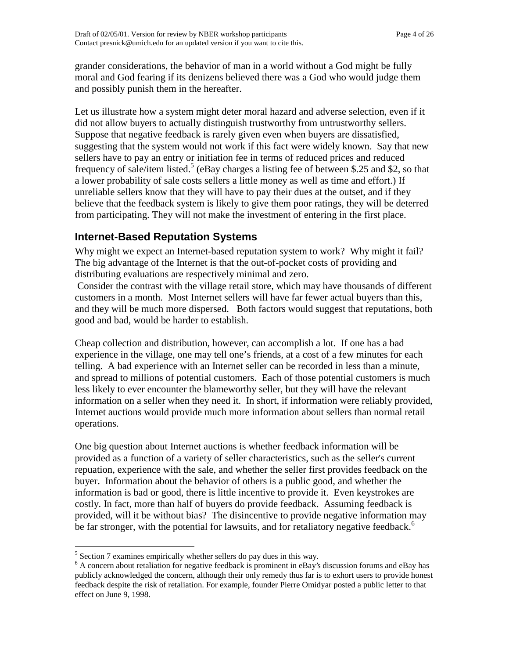grander considerations, the behavior of man in a world without a God might be fully moral and God fearing if its denizens believed there was a God who would judge them and possibly punish them in the hereafter.

Let us illustrate how a system might deter moral hazard and adverse selection, even if it did not allow buyers to actually distinguish trustworthy from untrustworthy sellers. Suppose that negative feedback is rarely given even when buyers are dissatisfied, suggesting that the system would not work if this fact were widely known. Say that new sellers have to pay an entry or initiation fee in terms of reduced prices and reduced frequency of sale/item listed.<sup>5</sup> (eBay charges a listing fee of between \$.25 and \$2, so that a lower probability of sale costs sellers a little money as well as time and effort.) If unreliable sellers know that they will have to pay their dues at the outset, and if they believe that the feedback system is likely to give them poor ratings, they will be deterred from participating. They will not make the investment of entering in the first place.

#### **Internet-Based Reputation Systems**

Why might we expect an Internet-based reputation system to work? Why might it fail? The big advantage of the Internet is that the out-of-pocket costs of providing and distributing evaluations are respectively minimal and zero.

 Consider the contrast with the village retail store, which may have thousands of different customers in a month. Most Internet sellers will have far fewer actual buyers than this, and they will be much more dispersed. Both factors would suggest that reputations, both good and bad, would be harder to establish.

Cheap collection and distribution, however, can accomplish a lot. If one has a bad experience in the village, one may tell one's friends, at a cost of a few minutes for each telling. A bad experience with an Internet seller can be recorded in less than a minute, and spread to millions of potential customers. Each of those potential customers is much less likely to ever encounter the blameworthy seller, but they will have the relevant information on a seller when they need it. In short, if information were reliably provided, Internet auctions would provide much more information about sellers than normal retail operations.

One big question about Internet auctions is whether feedback information will be provided as a function of a variety of seller characteristics, such as the seller's current repuation, experience with the sale, and whether the seller first provides feedback on the buyer. Information about the behavior of others is a public good, and whether the information is bad or good, there is little incentive to provide it. Even keystrokes are costly. In fact, more than half of buyers do provide feedback. Assuming feedback is provided, will it be without bias? The disincentive to provide negative information may be far stronger, with the potential for lawsuits, and for retaliatory negative feedback.<sup>6</sup>

 5 Section 7 examines empirically whether sellers do pay dues in this way.

 $6$  A concern about retaliation for negative feedback is prominent in eBay's discussion forums and eBay has publicly acknowledged the concern, although their only remedy thus far is to exhort users to provide honest feedback despite the risk of retaliation. For example, founder Pierre Omidyar posted a public letter to that effect on June 9, 1998.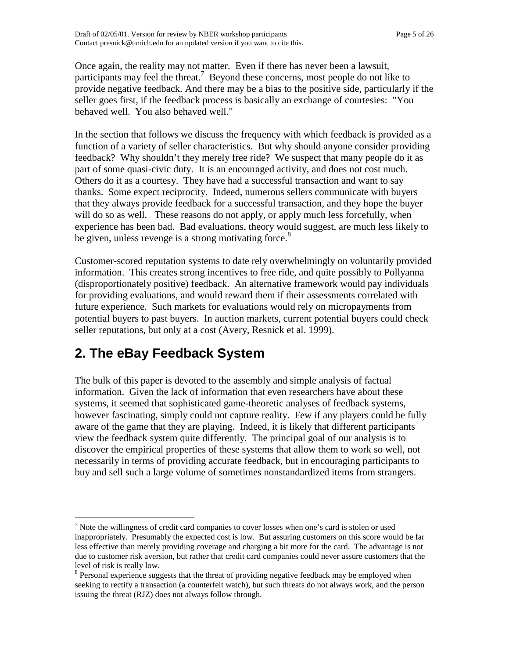Once again, the reality may not matter. Even if there has never been a lawsuit, participants may feel the threat.<sup>7</sup> Beyond these concerns, most people do not like to provide negative feedback. And there may be a bias to the positive side, particularly if the seller goes first, if the feedback process is basically an exchange of courtesies: "You behaved well. You also behaved well."

In the section that follows we discuss the frequency with which feedback is provided as a function of a variety of seller characteristics. But why should anyone consider providing feedback? Why shouldn't they merely free ride? We suspect that many people do it as part of some quasi-civic duty. It is an encouraged activity, and does not cost much. Others do it as a courtesy. They have had a successful transaction and want to say thanks. Some expect reciprocity. Indeed, numerous sellers communicate with buyers that they always provide feedback for a successful transaction, and they hope the buyer will do so as well. These reasons do not apply, or apply much less forcefully, when experience has been bad. Bad evaluations, theory would suggest, are much less likely to be given, unless revenge is a strong motivating force.<sup>8</sup>

Customer-scored reputation systems to date rely overwhelmingly on voluntarily provided information. This creates strong incentives to free ride, and quite possibly to Pollyanna (disproportionately positive) feedback. An alternative framework would pay individuals for providing evaluations, and would reward them if their assessments correlated with future experience. Such markets for evaluations would rely on micropayments from potential buyers to past buyers. In auction markets, current potential buyers could check seller reputations, but only at a cost (Avery, Resnick et al. 1999).

## **2. The eBay Feedback System**

The bulk of this paper is devoted to the assembly and simple analysis of factual information. Given the lack of information that even researchers have about these systems, it seemed that sophisticated game-theoretic analyses of feedback systems, however fascinating, simply could not capture reality. Few if any players could be fully aware of the game that they are playing. Indeed, it is likely that different participants view the feedback system quite differently. The principal goal of our analysis is to discover the empirical properties of these systems that allow them to work so well, not necessarily in terms of providing accurate feedback, but in encouraging participants to buy and sell such a large volume of sometimes nonstandardized items from strangers.

 $\overline{a}$  $<sup>7</sup>$  Note the willingness of credit card companies to cover losses when one's card is stolen or used</sup> inappropriately. Presumably the expected cost is low. But assuring customers on this score would be far less effective than merely providing coverage and charging a bit more for the card. The advantage is not due to customer risk aversion, but rather that credit card companies could never assure customers that the level of risk is really low.

<sup>&</sup>lt;sup>8</sup> Personal experience suggests that the threat of providing negative feedback may be employed when seeking to rectify a transaction (a counterfeit watch), but such threats do not always work, and the person issuing the threat (RJZ) does not always follow through.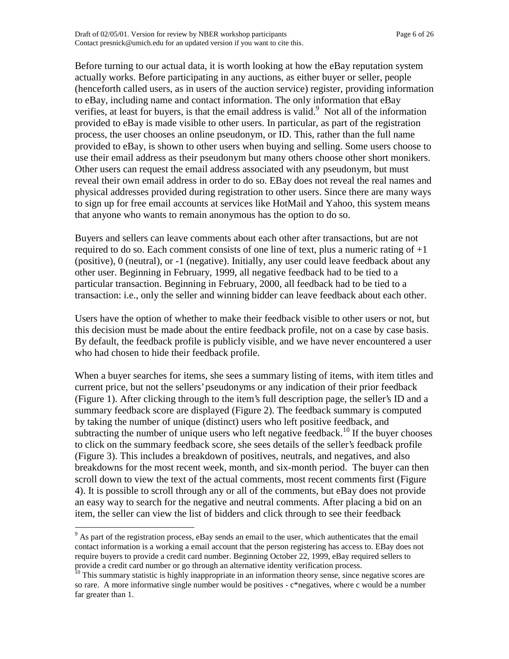Before turning to our actual data, it is worth looking at how the eBay reputation system actually works. Before participating in any auctions, as either buyer or seller, people (henceforth called users, as in users of the auction service) register, providing information to eBay, including name and contact information. The only information that eBay verifies, at least for buyers, is that the email address is valid. $9$  Not all of the information provided to eBay is made visible to other users. In particular, as part of the registration process, the user chooses an online pseudonym, or ID. This, rather than the full name provided to eBay, is shown to other users when buying and selling. Some users choose to use their email address as their pseudonym but many others choose other short monikers. Other users can request the email address associated with any pseudonym, but must reveal their own email address in order to do so. EBay does not reveal the real names and physical addresses provided during registration to other users. Since there are many ways to sign up for free email accounts at services like HotMail and Yahoo, this system means that anyone who wants to remain anonymous has the option to do so.

Buyers and sellers can leave comments about each other after transactions, but are not required to do so. Each comment consists of one line of text, plus a numeric rating of  $+1$ (positive), 0 (neutral), or -1 (negative). Initially, any user could leave feedback about any other user. Beginning in February, 1999, all negative feedback had to be tied to a particular transaction. Beginning in February, 2000, all feedback had to be tied to a transaction: i.e., only the seller and winning bidder can leave feedback about each other.

Users have the option of whether to make their feedback visible to other users or not, but this decision must be made about the entire feedback profile, not on a case by case basis. By default, the feedback profile is publicly visible, and we have never encountered a user who had chosen to hide their feedback profile.

When a buyer searches for items, she sees a summary listing of items, with item titles and current price, but not the sellers' pseudonyms or any indication of their prior feedback (Figure 1). After clicking through to the item's full description page, the seller's ID and a summary feedback score are displayed (Figure 2). The feedback summary is computed by taking the number of unique (distinct) users who left positive feedback, and subtracting the number of unique users who left negative feedback.<sup>10</sup> If the buyer chooses to click on the summary feedback score, she sees details of the seller's feedback profile (Figure 3). This includes a breakdown of positives, neutrals, and negatives, and also breakdowns for the most recent week, month, and six-month period. The buyer can then scroll down to view the text of the actual comments, most recent comments first (Figure 4). It is possible to scroll through any or all of the comments, but eBay does not provide an easy way to search for the negative and neutral comments. After placing a bid on an item, the seller can view the list of bidders and click through to see their feedback

 $\overline{a}$ 

 $9<sup>9</sup>$  As part of the registration process, eBay sends an email to the user, which authenticates that the email contact information is a working a email account that the person registering has access to. EBay does not require buyers to provide a credit card number. Beginning October 22, 1999, eBay required sellers to provide a credit card number or go through an alternative identity verification process.

<sup>&</sup>lt;sup>10</sup> This summary statistic is highly inappropriate in an information theory sense, since negative scores are so rare. A more informative single number would be positives -  $c^*$  negatives, where c would be a number far greater than 1.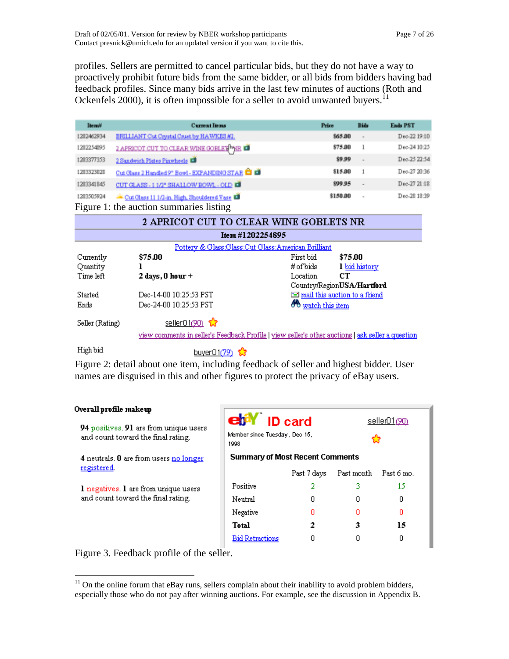profiles. Sellers are permitted to cancel particular bids, but they do not have a way to proactively prohibit future bids from the same bidder, or all bids from bidders having bad feedback profiles. Since many bids arrive in the last few minutes of auctions (Roth and Ockenfels 2000), it is often impossible for a seller to avoid unwanted buyers.<sup>11</sup>

| Item/f     | <b>Current liens</b>                             | Price    | <b>Bids</b> | <b>Ends PST</b> |
|------------|--------------------------------------------------|----------|-------------|-----------------|
| 1202462934 | BRILLIANT Cut Crystal Cruet by HAWKES #2.        | \$65.00  | $\sim$      | Dec-22 19:10    |
| 1202254895 | 2 APRICOT CUT TO CLEAR WINE GOBLET WE EL         | \$75.00  |             | Dec-24 10:25    |
| 1203377353 | 2 Sandwich Plates Pinwheels                      | \$9.99   | $\sim$      | Dec-25 22:54    |
| 1203323028 | Cut Clare 2 Handled 9" Bowl - EXPANDING STAR L U | \$15.00  |             | Dec-27 20:36    |
| 1203341845 | CUT GLASS - 11/2* SHALLOW BOWL - OLD L           | \$99.95  | $\sim$      | Dec-27 21:18    |
| 1203505924 | Cut Class 11 1/2-in. High, Shouldered Vase El    | \$150.00 | $\sim$      | Dec-28 18:39    |
|            | Figure 1: the auction summaries listing          |          |             |                 |

| 2 APRICOT CUT TO CLEAR WINE GOBLETS NR             |                                                                                                   |             |                                        |  |  |  |  |
|----------------------------------------------------|---------------------------------------------------------------------------------------------------|-------------|----------------------------------------|--|--|--|--|
| Item #1202254895                                   |                                                                                                   |             |                                        |  |  |  |  |
| Pottery & Glass:Glass:Cut Glass:American Brilliant |                                                                                                   |             |                                        |  |  |  |  |
| Currently                                          | \$75.00                                                                                           | First bid   | \$75.00                                |  |  |  |  |
| Quantity                                           |                                                                                                   | $#$ of bids | 1 bid history                          |  |  |  |  |
| Time left                                          | $2$ days, 0 hour +                                                                                | Location    | CТ                                     |  |  |  |  |
|                                                    |                                                                                                   |             | Country/RegionUSA/Hartford             |  |  |  |  |
| Started                                            | Dec-14-00 10:25:53 PST                                                                            |             | $\equiv$ mail this auction to a friend |  |  |  |  |
| Ends                                               | Dec-24-00 10:25:53 PST                                                                            |             | <b>88</b> watch this item              |  |  |  |  |
|                                                    |                                                                                                   |             |                                        |  |  |  |  |
| Seller (Rating)                                    | seller01(90) \$                                                                                   |             |                                        |  |  |  |  |
|                                                    | view comments in seller's Feedback Profile   view seller's other auctions   ask seller a question |             |                                        |  |  |  |  |

High bid

#### buyer01(79)

Figure 2: detail about one item, including feedback of seller and highest bidder. User names are disguised in this and other figures to protect the privacy of eBay users.

| Overall profile makeup                                                             |                                                                  |             |                     |            |  |  |  |
|------------------------------------------------------------------------------------|------------------------------------------------------------------|-------------|---------------------|------------|--|--|--|
| 94 positives. 91 are from unique users<br>and count toward the final rating.       | et <sup>N</sup> ID card<br>Member since Tuesday, Dec 15,<br>1998 |             | <u>seller01(90)</u> |            |  |  |  |
| 4 neutrals. 0 are from users no longer                                             | <b>Summary of Most Recent Comments</b>                           |             |                     |            |  |  |  |
| registered.                                                                        |                                                                  | Past 7 days | Past month          | Past 6 mo. |  |  |  |
| I negatives. I are from unique users                                               | Positive                                                         | 2           | 3                   | 15         |  |  |  |
| and count toward the final rating.                                                 | Neutral                                                          | 0           | 0                   | 0          |  |  |  |
|                                                                                    | Negative                                                         | ۵           | ۵                   | ۵          |  |  |  |
|                                                                                    | Total                                                            | 2           | з                   | 15         |  |  |  |
|                                                                                    | <b>Bid Retractions</b>                                           | 0           | 0                   | 0          |  |  |  |
| $\Gamma$ and $\gamma$ $\Gamma$ and $\Gamma$ and $\Gamma$ and $\Gamma$ and $\Gamma$ |                                                                  |             |                     |            |  |  |  |

Figure 3. Feedback profile of the seller.

 $\overline{a}$  $11$  On the online forum that eBay runs, sellers complain about their inability to avoid problem bidders, especially those who do not pay after winning auctions. For example, see the discussion in Appendix B.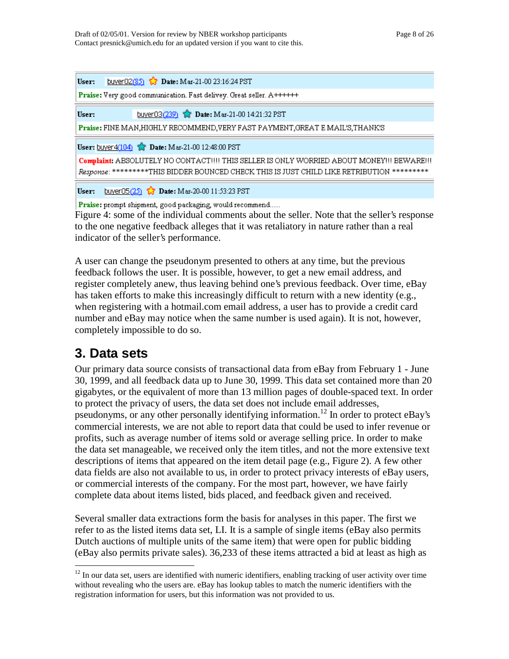| User:                                                                          | buyer02(85) $\sqrt{3}$ Date: Mar-21-00 23:16:24 PST                                                                                                                                      |  |  |  |  |  |
|--------------------------------------------------------------------------------|------------------------------------------------------------------------------------------------------------------------------------------------------------------------------------------|--|--|--|--|--|
|                                                                                | Praise: Very good communication. Fast delivey. Great seller. A++++++                                                                                                                     |  |  |  |  |  |
| User:                                                                          | buyer03(239) & Date: Mar-21-00 14:21:32 PST                                                                                                                                              |  |  |  |  |  |
| Praise: FINE MAN, HIGHLY RECOMMEND, VERY FAST PAYMENT, GREAT E MAIL'S, THANK'S |                                                                                                                                                                                          |  |  |  |  |  |
|                                                                                |                                                                                                                                                                                          |  |  |  |  |  |
|                                                                                | User: buyer4(104) & Date: Mar-21-00 12:48:00 PST                                                                                                                                         |  |  |  |  |  |
|                                                                                | Complaint: ABSOLUTELY NO CONTACT !!!! THIS SELLER IS ONLY WORRIED ABOUT MONEY!!! BEWARE!!!<br>Response: *********THIS BIDDER BOUNCED CHECK THIS IS JUST CHILD LIKE RETRIBUTION ********* |  |  |  |  |  |

Praise: prompt shipment, good packaging, would recommend......

Figure 4: some of the individual comments about the seller. Note that the seller's response to the one negative feedback alleges that it was retaliatory in nature rather than a real indicator of the seller's performance.

A user can change the pseudonym presented to others at any time, but the previous feedback follows the user. It is possible, however, to get a new email address, and register completely anew, thus leaving behind one's previous feedback. Over time, eBay has taken efforts to make this increasingly difficult to return with a new identity (e.g., when registering with a hotmail.com email address, a user has to provide a credit card number and eBay may notice when the same number is used again). It is not, however, completely impossible to do so.

### **3. Data sets**

 $\overline{a}$ 

Our primary data source consists of transactional data from eBay from February 1 - June 30, 1999, and all feedback data up to June 30, 1999. This data set contained more than 20 gigabytes, or the equivalent of more than 13 million pages of double-spaced text. In order to protect the privacy of users, the data set does not include email addresses, pseudonyms, or any other personally identifying information.<sup>12</sup> In order to protect eBay's commercial interests, we are not able to report data that could be used to infer revenue or profits, such as average number of items sold or average selling price. In order to make the data set manageable, we received only the item titles, and not the more extensive text descriptions of items that appeared on the item detail page (e.g., Figure 2). A few other data fields are also not available to us, in order to protect privacy interests of eBay users, or commercial interests of the company. For the most part, however, we have fairly complete data about items listed, bids placed, and feedback given and received.

Several smaller data extractions form the basis for analyses in this paper. The first we refer to as the listed items data set, LI. It is a sample of single items (eBay also permits Dutch auctions of multiple units of the same item) that were open for public bidding (eBay also permits private sales). 36,233 of these items attracted a bid at least as high as

 $12$  In our data set, users are identified with numeric identifiers, enabling tracking of user activity over time without revealing who the users are. eBay has lookup tables to match the numeric identifiers with the registration information for users, but this information was not provided to us.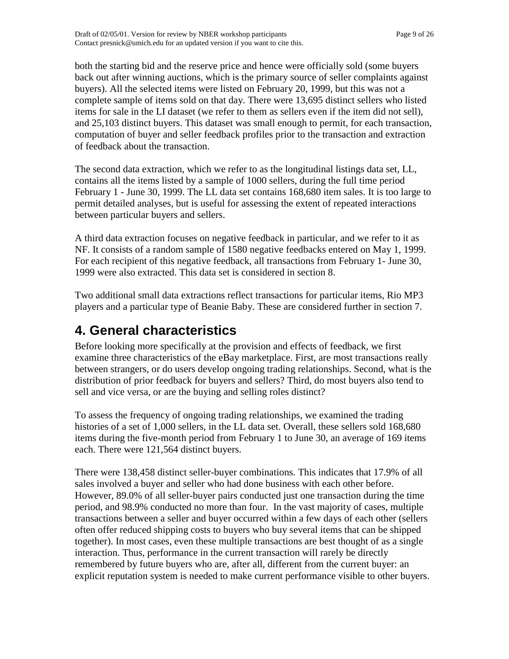both the starting bid and the reserve price and hence were officially sold (some buyers back out after winning auctions, which is the primary source of seller complaints against buyers). All the selected items were listed on February 20, 1999, but this was not a complete sample of items sold on that day. There were 13,695 distinct sellers who listed items for sale in the LI dataset (we refer to them as sellers even if the item did not sell), and 25,103 distinct buyers. This dataset was small enough to permit, for each transaction, computation of buyer and seller feedback profiles prior to the transaction and extraction of feedback about the transaction.

The second data extraction, which we refer to as the longitudinal listings data set, LL, contains all the items listed by a sample of 1000 sellers, during the full time period February 1 - June 30, 1999. The LL data set contains 168,680 item sales. It is too large to permit detailed analyses, but is useful for assessing the extent of repeated interactions between particular buyers and sellers.

A third data extraction focuses on negative feedback in particular, and we refer to it as NF. It consists of a random sample of 1580 negative feedbacks entered on May 1, 1999. For each recipient of this negative feedback, all transactions from February 1- June 30, 1999 were also extracted. This data set is considered in section 8.

Two additional small data extractions reflect transactions for particular items, Rio MP3 players and a particular type of Beanie Baby. These are considered further in section 7.

## **4. General characteristics**

Before looking more specifically at the provision and effects of feedback, we first examine three characteristics of the eBay marketplace. First, are most transactions really between strangers, or do users develop ongoing trading relationships. Second, what is the distribution of prior feedback for buyers and sellers? Third, do most buyers also tend to sell and vice versa, or are the buying and selling roles distinct?

To assess the frequency of ongoing trading relationships, we examined the trading histories of a set of 1,000 sellers, in the LL data set. Overall, these sellers sold 168,680 items during the five-month period from February 1 to June 30, an average of 169 items each. There were 121,564 distinct buyers.

There were 138,458 distinct seller-buyer combinations. This indicates that 17.9% of all sales involved a buyer and seller who had done business with each other before. However, 89.0% of all seller-buyer pairs conducted just one transaction during the time period, and 98.9% conducted no more than four. In the vast majority of cases, multiple transactions between a seller and buyer occurred within a few days of each other (sellers often offer reduced shipping costs to buyers who buy several items that can be shipped together). In most cases, even these multiple transactions are best thought of as a single interaction. Thus, performance in the current transaction will rarely be directly remembered by future buyers who are, after all, different from the current buyer: an explicit reputation system is needed to make current performance visible to other buyers.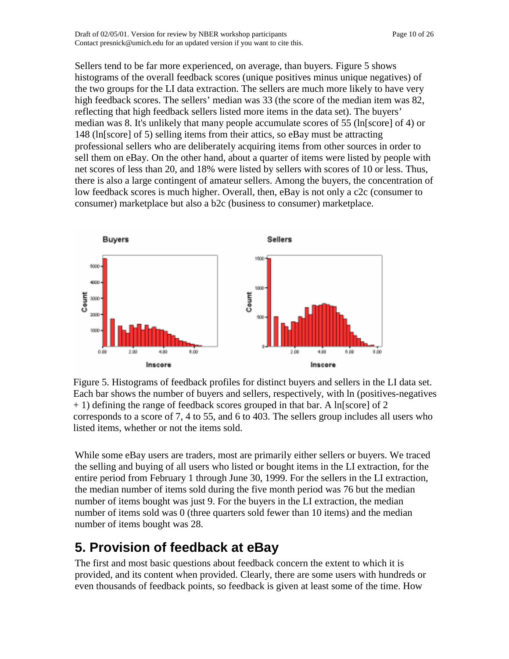Sellers tend to be far more experienced, on average, than buyers. Figure 5 shows histograms of the overall feedback scores (unique positives minus unique negatives) of the two groups for the LI data extraction. The sellers are much more likely to have very high feedback scores. The sellers' median was 33 (the score of the median item was 82, reflecting that high feedback sellers listed more items in the data set). The buyers' median was 8. It's unlikely that many people accumulate scores of 55 (ln[score] of 4) or 148 (ln[score] of 5) selling items from their attics, so eBay must be attracting professional sellers who are deliberately acquiring items from other sources in order to sell them on eBay. On the other hand, about a quarter of items were listed by people with net scores of less than 20, and 18% were listed by sellers with scores of 10 or less. Thus, there is also a large contingent of amateur sellers. Among the buyers, the concentration of low feedback scores is much higher. Overall, then, eBay is not only a c2c (consumer to consumer) marketplace but also a b2c (business to consumer) marketplace.



Figure 5. Histograms of feedback profiles for distinct buyers and sellers in the LI data set. Each bar shows the number of buyers and sellers, respectively, with ln (positives-negatives  $+ 1$ ) defining the range of feedback scores grouped in that bar. A ln[score] of 2 corresponds to a score of 7, 4 to 55, and 6 to 403. The sellers group includes all users who listed items, whether or not the items sold.

While some eBay users are traders, most are primarily either sellers or buyers. We traced the selling and buying of all users who listed or bought items in the LI extraction, for the entire period from February 1 through June 30, 1999. For the sellers in the LI extraction, the median number of items sold during the five month period was 76 but the median number of items bought was just 9. For the buyers in the LI extraction, the median number of items sold was 0 (three quarters sold fewer than 10 items) and the median number of items bought was 28.

# **5. Provision of feedback at eBay**

The first and most basic questions about feedback concern the extent to which it is provided, and its content when provided. Clearly, there are some users with hundreds or even thousands of feedback points, so feedback is given at least some of the time. How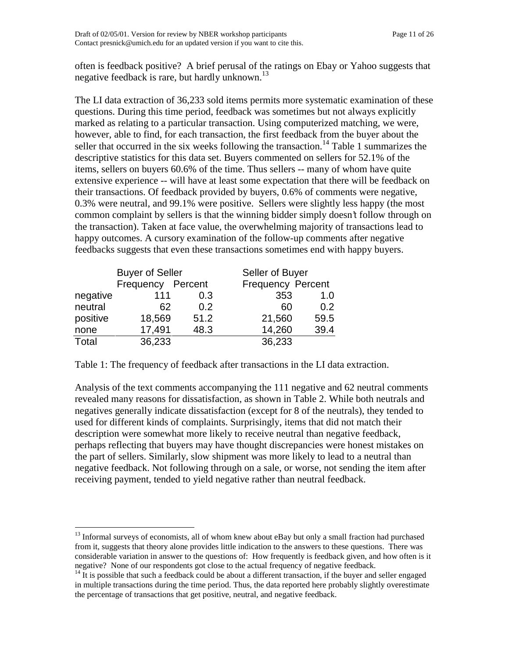often is feedback positive? A brief perusal of the ratings on Ebay or Yahoo suggests that negative feedback is rare, but hardly unknown. $^{13}$ 

The LI data extraction of 36,233 sold items permits more systematic examination of these questions. During this time period, feedback was sometimes but not always explicitly marked as relating to a particular transaction. Using computerized matching, we were, however, able to find, for each transaction, the first feedback from the buyer about the seller that occurred in the six weeks following the transaction.<sup>14</sup> Table 1 summarizes the descriptive statistics for this data set. Buyers commented on sellers for 52.1% of the items, sellers on buyers 60.6% of the time. Thus sellers -- many of whom have quite extensive experience -- will have at least some expectation that there will be feedback on their transactions. Of feedback provided by buyers, 0.6% of comments were negative, 0.3% were neutral, and 99.1% were positive. Sellers were slightly less happy (the most common complaint by sellers is that the winning bidder simply doesn't follow through on the transaction). Taken at face value, the overwhelming majority of transactions lead to happy outcomes. A cursory examination of the follow-up comments after negative feedbacks suggests that even these transactions sometimes end with happy buyers.

|          | <b>Buyer of Seller</b> |      |                          | Seller of Buyer |  |  |
|----------|------------------------|------|--------------------------|-----------------|--|--|
|          | Frequency Percent      |      | <b>Frequency Percent</b> |                 |  |  |
| negative | 111                    | 0.3  | 353                      | 1.0             |  |  |
| neutral  | 62                     | 0.2  | 60                       | 0.2             |  |  |
| positive | 18,569                 | 51.2 | 21,560                   | 59.5            |  |  |
| none     | 17,491                 | 48.3 | 14,260                   | 39.4            |  |  |
| Total    | 36,233                 |      | 36,233                   |                 |  |  |

Table 1: The frequency of feedback after transactions in the LI data extraction.

Analysis of the text comments accompanying the 111 negative and 62 neutral comments revealed many reasons for dissatisfaction, as shown in Table 2. While both neutrals and negatives generally indicate dissatisfaction (except for 8 of the neutrals), they tended to used for different kinds of complaints. Surprisingly, items that did not match their description were somewhat more likely to receive neutral than negative feedback, perhaps reflecting that buyers may have thought discrepancies were honest mistakes on the part of sellers. Similarly, slow shipment was more likely to lead to a neutral than negative feedback. Not following through on a sale, or worse, not sending the item after receiving payment, tended to yield negative rather than neutral feedback.

 $\overline{a}$ <sup>13</sup> Informal surveys of economists, all of whom knew about eBay but only a small fraction had purchased from it, suggests that theory alone provides little indication to the answers to these questions. There was considerable variation in answer to the questions of: How frequently is feedback given, and how often is it negative? None of our respondents got close to the actual frequency of negative feedback.

<sup>&</sup>lt;sup>14</sup> It is possible that such a feedback could be about a different transaction, if the buyer and seller engaged in multiple transactions during the time period. Thus, the data reported here probably slightly overestimate the percentage of transactions that get positive, neutral, and negative feedback.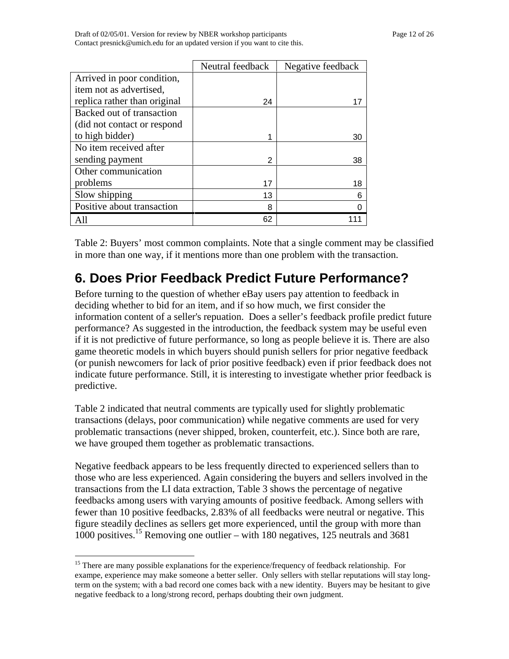|                              | Neutral feedback | Negative feedback |
|------------------------------|------------------|-------------------|
| Arrived in poor condition,   |                  |                   |
| item not as advertised,      |                  |                   |
| replica rather than original | 24               | 17                |
| Backed out of transaction    |                  |                   |
| (did not contact or respond) |                  |                   |
| to high bidder)              | 1                | 30                |
| No item received after       |                  |                   |
| sending payment              | 2                | 38                |
| Other communication          |                  |                   |
| problems                     | 17               | 18                |
| Slow shipping                | 13               | 6                 |
| Positive about transaction   | 8                |                   |
| All                          | 62               |                   |

Table 2: Buyers' most common complaints. Note that a single comment may be classified in more than one way, if it mentions more than one problem with the transaction.

## **6. Does Prior Feedback Predict Future Performance?**

Before turning to the question of whether eBay users pay attention to feedback in deciding whether to bid for an item, and if so how much, we first consider the information content of a seller's repuation. Does a seller's feedback profile predict future performance? As suggested in the introduction, the feedback system may be useful even if it is not predictive of future performance, so long as people believe it is. There are also game theoretic models in which buyers should punish sellers for prior negative feedback (or punish newcomers for lack of prior positive feedback) even if prior feedback does not indicate future performance. Still, it is interesting to investigate whether prior feedback is predictive.

Table 2 indicated that neutral comments are typically used for slightly problematic transactions (delays, poor communication) while negative comments are used for very problematic transactions (never shipped, broken, counterfeit, etc.). Since both are rare, we have grouped them together as problematic transactions.

Negative feedback appears to be less frequently directed to experienced sellers than to those who are less experienced. Again considering the buyers and sellers involved in the transactions from the LI data extraction, Table 3 shows the percentage of negative feedbacks among users with varying amounts of positive feedback. Among sellers with fewer than 10 positive feedbacks, 2.83% of all feedbacks were neutral or negative. This figure steadily declines as sellers get more experienced, until the group with more than 1000 positives.15 Removing one outlier – with 180 negatives, 125 neutrals and 3681

 $\overline{a}$ <sup>15</sup> There are many possible explanations for the experience/frequency of feedback relationship. For exampe, experience may make someone a better seller. Only sellers with stellar reputations will stay longterm on the system; with a bad record one comes back with a new identity. Buyers may be hesitant to give negative feedback to a long/strong record, perhaps doubting their own judgment.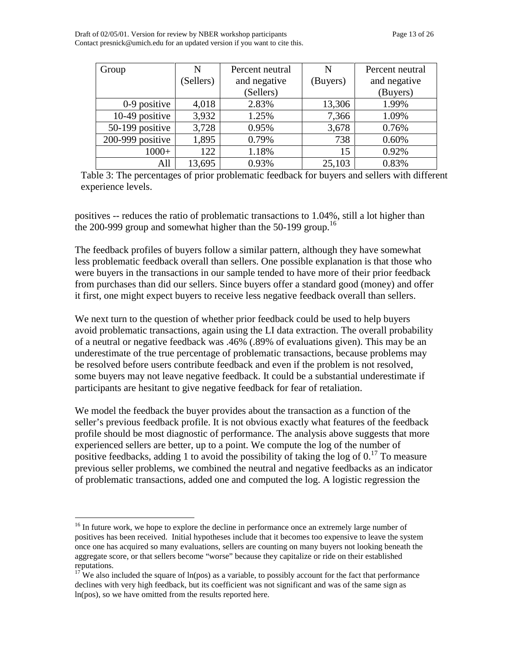| Group            | N         | Percent neutral | N        | Percent neutral |
|------------------|-----------|-----------------|----------|-----------------|
|                  | (Sellers) | and negative    | (Buyers) | and negative    |
|                  |           | (Sellers)       |          | (Buyers)        |
| $0-9$ positive   | 4,018     | 2.83%           | 13,306   | 1.99%           |
| 10-49 positive   | 3,932     | 1.25%           | 7,366    | 1.09%           |
| 50-199 positive  | 3,728     | 0.95%           | 3,678    | 0.76%           |
| 200-999 positive | 1,895     | 0.79%           | 738      | 0.60%           |
| $1000+$          | 122       | 1.18%           | 15       | 0.92%           |
| All              | 13,695    | 0.93%           | 25,103   | 0.83%           |

Table 3: The percentages of prior problematic feedback for buyers and sellers with different experience levels.

positives -- reduces the ratio of problematic transactions to 1.04%, still a lot higher than the 200-999 group and somewhat higher than the  $50-199$  group.<sup>16</sup>

The feedback profiles of buyers follow a similar pattern, although they have somewhat less problematic feedback overall than sellers. One possible explanation is that those who were buyers in the transactions in our sample tended to have more of their prior feedback from purchases than did our sellers. Since buyers offer a standard good (money) and offer it first, one might expect buyers to receive less negative feedback overall than sellers.

We next turn to the question of whether prior feedback could be used to help buyers avoid problematic transactions, again using the LI data extraction. The overall probability of a neutral or negative feedback was .46% (.89% of evaluations given). This may be an underestimate of the true percentage of problematic transactions, because problems may be resolved before users contribute feedback and even if the problem is not resolved, some buyers may not leave negative feedback. It could be a substantial underestimate if participants are hesitant to give negative feedback for fear of retaliation.

We model the feedback the buyer provides about the transaction as a function of the seller's previous feedback profile. It is not obvious exactly what features of the feedback profile should be most diagnostic of performance. The analysis above suggests that more experienced sellers are better, up to a point. We compute the log of the number of positive feedbacks, adding 1 to avoid the possibility of taking the log of  $0<sup>17</sup>$  To measure previous seller problems, we combined the neutral and negative feedbacks as an indicator of problematic transactions, added one and computed the log. A logistic regression the

 $\overline{a}$ 

<sup>&</sup>lt;sup>16</sup> In future work, we hope to explore the decline in performance once an extremely large number of positives has been received. Initial hypotheses include that it becomes too expensive to leave the system once one has acquired so many evaluations, sellers are counting on many buyers not looking beneath the aggregate score, or that sellers become "worse" because they capitalize or ride on their established reputations.

<sup>&</sup>lt;sup>17</sup> We also included the square of  $ln(pos)$  as a variable, to possibly account for the fact that performance declines with very high feedback, but its coefficient was not significant and was of the same sign as ln(pos), so we have omitted from the results reported here.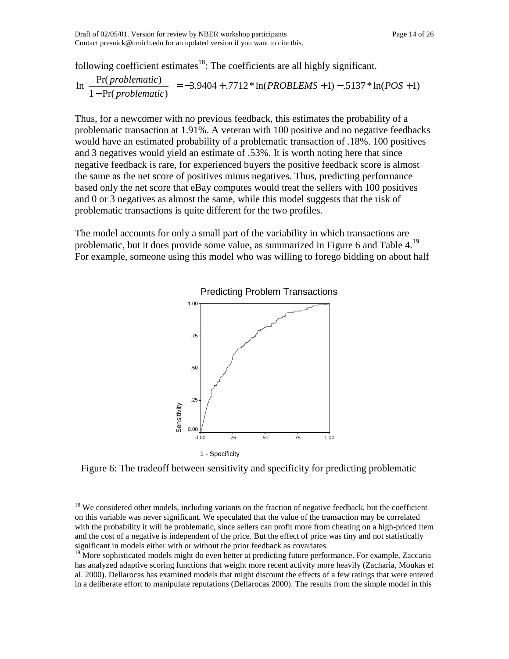following coefficient estimates<sup>18</sup>: The coefficients are all highly significant.

$$
\ln\left(\frac{\Pr(problematic)}{1-\Pr(problematic)}\right) = -3.9404 + .7712 * \ln(PROBLEMS + 1) - .5137 * \ln(POS + 1)
$$

Thus, for a newcomer with no previous feedback, this estimates the probability of a problematic transaction at 1.91%. A veteran with 100 positive and no negative feedbacks would have an estimated probability of a problematic transaction of .18%. 100 positives and 3 negatives would yield an estimate of .53%. It is worth noting here that since negative feedback is rare, for experienced buyers the positive feedback score is almost the same as the net score of positives minus negatives. Thus, predicting performance based only the net score that eBay computes would treat the sellers with 100 positives and 0 or 3 negatives as almost the same, while this model suggests that the risk of problematic transactions is quite different for the two profiles.

The model accounts for only a small part of the variability in which transactions are problematic, but it does provide some value, as summarized in Figure 6 and Table 4.<sup>19</sup> For example, someone using this model who was willing to forego bidding on about half



Predicting Problem Transactions

Figure 6: The tradeoff between sensitivity and specificity for predicting problematic

 $\overline{a}$ 

 $18$  We considered other models, including variants on the fraction of negative feedback, but the coefficient on this variable was never significant. We speculated that the value of the transaction may be correlated with the probability it will be problematic, since sellers can profit more from cheating on a high-priced item and the cost of a negative is independent of the price. But the effect of price was tiny and not statistically significant in models either with or without the prior feedback as covariates.

<sup>&</sup>lt;sup>19</sup> More sophisticated models might do even better at predicting future performance. For example, Zaccaria has analyzed adaptive scoring functions that weight more recent activity more heavily (Zacharia, Moukas et al. 2000). Dellarocas has examined models that might discount the effects of a few ratings that were entered in a deliberate effort to manipulate reputations (Dellarocas 2000). The results from the simple model in this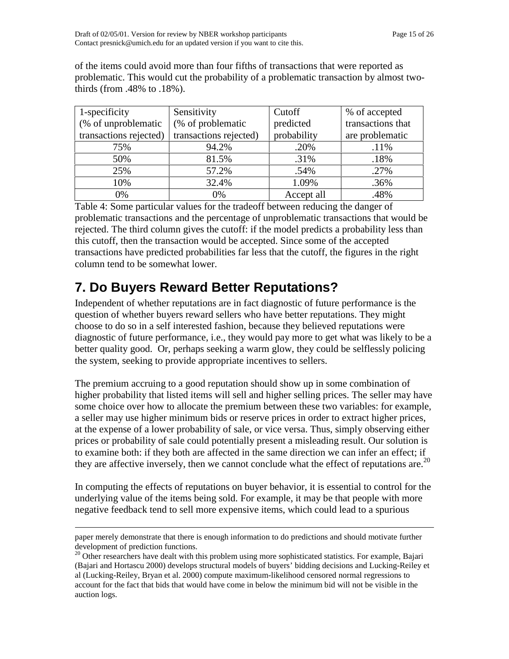of the items could avoid more than four fifths of transactions that were reported as problematic. This would cut the probability of a problematic transaction by almost twothirds (from .48% to .18%).

| 1-specificity          | Sensitivity            | Cutoff      | % of accepted     |
|------------------------|------------------------|-------------|-------------------|
| (% of unproblematic    | (% of problematic      | predicted   | transactions that |
| transactions rejected) | transactions rejected) | probability | are problematic   |
| 75%                    | 94.2%                  | .20%        | .11%              |
| 50%                    | 81.5%                  | .31%        | .18%              |
| 25%                    | 57.2%                  | .54%        | .27%              |
| 10%                    | 32.4%                  | 1.09%       | .36%              |
| 0%                     | 0%                     | Accept all  | .48%              |

Table 4: Some particular values for the tradeoff between reducing the danger of problematic transactions and the percentage of unproblematic transactions that would be rejected. The third column gives the cutoff: if the model predicts a probability less than this cutoff, then the transaction would be accepted. Since some of the accepted transactions have predicted probabilities far less that the cutoff, the figures in the right column tend to be somewhat lower.

# **7. Do Buyers Reward Better Reputations?**

Independent of whether reputations are in fact diagnostic of future performance is the question of whether buyers reward sellers who have better reputations. They might choose to do so in a self interested fashion, because they believed reputations were diagnostic of future performance, i.e., they would pay more to get what was likely to be a better quality good. Or, perhaps seeking a warm glow, they could be selflessly policing the system, seeking to provide appropriate incentives to sellers.

The premium accruing to a good reputation should show up in some combination of higher probability that listed items will sell and higher selling prices. The seller may have some choice over how to allocate the premium between these two variables: for example, a seller may use higher minimum bids or reserve prices in order to extract higher prices, at the expense of a lower probability of sale, or vice versa. Thus, simply observing either prices or probability of sale could potentially present a misleading result. Our solution is to examine both: if they both are affected in the same direction we can infer an effect; if they are affective inversely, then we cannot conclude what the effect of reputations are.<sup>20</sup>

In computing the effects of reputations on buyer behavior, it is essential to control for the underlying value of the items being sold. For example, it may be that people with more negative feedback tend to sell more expensive items, which could lead to a spurious

paper merely demonstrate that there is enough information to do predictions and should motivate further development of prediction functions.

<sup>&</sup>lt;sup>20</sup> Other researchers have dealt with this problem using more sophisticated statistics. For example, Bajari (Bajari and Hortascu 2000) develops structural models of buyers' bidding decisions and Lucking-Reiley et al (Lucking-Reiley, Bryan et al. 2000) compute maximum-likelihood censored normal regressions to account for the fact that bids that would have come in below the minimum bid will not be visible in the auction logs.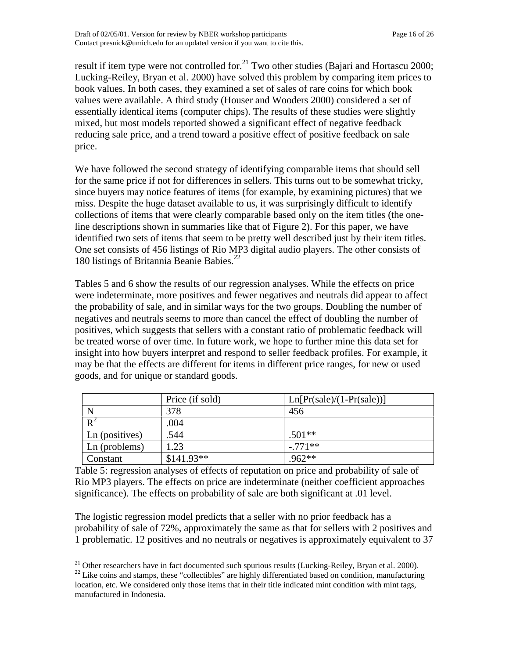result if item type were not controlled for.<sup>21</sup> Two other studies (Bajari and Hortascu 2000; Lucking-Reiley, Bryan et al. 2000) have solved this problem by comparing item prices to book values. In both cases, they examined a set of sales of rare coins for which book values were available. A third study (Houser and Wooders 2000) considered a set of essentially identical items (computer chips). The results of these studies were slightly mixed, but most models reported showed a significant effect of negative feedback reducing sale price, and a trend toward a positive effect of positive feedback on sale price.

We have followed the second strategy of identifying comparable items that should sell for the same price if not for differences in sellers. This turns out to be somewhat tricky, since buyers may notice features of items (for example, by examining pictures) that we miss. Despite the huge dataset available to us, it was surprisingly difficult to identify collections of items that were clearly comparable based only on the item titles (the oneline descriptions shown in summaries like that of Figure 2). For this paper, we have identified two sets of items that seem to be pretty well described just by their item titles. One set consists of 456 listings of Rio MP3 digital audio players. The other consists of 180 listings of Britannia Beanie Babies.<sup>22</sup>

Tables 5 and 6 show the results of our regression analyses. While the effects on price were indeterminate, more positives and fewer negatives and neutrals did appear to affect the probability of sale, and in similar ways for the two groups. Doubling the number of negatives and neutrals seems to more than cancel the effect of doubling the number of positives, which suggests that sellers with a constant ratio of problematic feedback will be treated worse of over time. In future work, we hope to further mine this data set for insight into how buyers interpret and respond to seller feedback profiles. For example, it may be that the effects are different for items in different price ranges, for new or used goods, and for unique or standard goods.

|                | Price (if sold) | $Ln[Pr(sale)/(1-Pr(sale))]$ |
|----------------|-----------------|-----------------------------|
|                | 378             | 456                         |
| $R^2$          | .004            |                             |
| Ln (positives) | 544             | $.501**$                    |
| Ln (problems)  | 1.23            | $-.771**$                   |
| Constant       | $$141.93**$     | $.962**$                    |

Table 5: regression analyses of effects of reputation on price and probability of sale of Rio MP3 players. The effects on price are indeterminate (neither coefficient approaches significance). The effects on probability of sale are both significant at .01 level.

The logistic regression model predicts that a seller with no prior feedback has a probability of sale of 72%, approximately the same as that for sellers with 2 positives and 1 problematic. 12 positives and no neutrals or negatives is approximately equivalent to 37

 $\overline{a}$ 

 $^{21}$  Other researchers have in fact documented such spurious results (Lucking-Reiley, Bryan et al. 2000).

 $22$  Like coins and stamps, these "collectibles" are highly differentiated based on condition, manufacturing location, etc. We considered only those items that in their title indicated mint condition with mint tags, manufactured in Indonesia.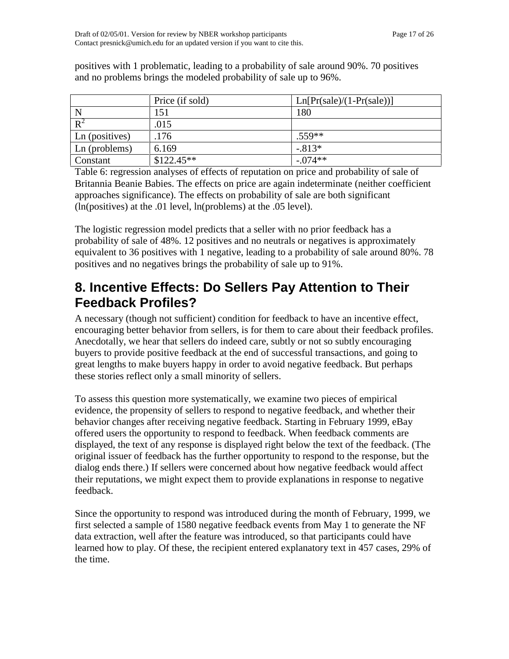|                | Price (if sold) | $Ln[Pr(sale)/(1-Pr(sale))]$ |
|----------------|-----------------|-----------------------------|
| N              | 151             | 180                         |
| $R^2$          | .015            |                             |
| Ln (positives) | .176            | $.559**$                    |
| Ln (problems)  | 6.169           | $-.813*$                    |
| Constant       | $$122.45**$     | $-.074**$                   |

positives with 1 problematic, leading to a probability of sale around 90%. 70 positives and no problems brings the modeled probability of sale up to 96%.

Table 6: regression analyses of effects of reputation on price and probability of sale of Britannia Beanie Babies. The effects on price are again indeterminate (neither coefficient approaches significance). The effects on probability of sale are both significant (ln(positives) at the .01 level, ln(problems) at the .05 level).

The logistic regression model predicts that a seller with no prior feedback has a probability of sale of 48%. 12 positives and no neutrals or negatives is approximately equivalent to 36 positives with 1 negative, leading to a probability of sale around 80%. 78 positives and no negatives brings the probability of sale up to 91%.

#### **8. Incentive Effects: Do Sellers Pay Attention to Their Feedback Profiles?**

A necessary (though not sufficient) condition for feedback to have an incentive effect, encouraging better behavior from sellers, is for them to care about their feedback profiles. Anecdotally, we hear that sellers do indeed care, subtly or not so subtly encouraging buyers to provide positive feedback at the end of successful transactions, and going to great lengths to make buyers happy in order to avoid negative feedback. But perhaps these stories reflect only a small minority of sellers.

To assess this question more systematically, we examine two pieces of empirical evidence, the propensity of sellers to respond to negative feedback, and whether their behavior changes after receiving negative feedback. Starting in February 1999, eBay offered users the opportunity to respond to feedback. When feedback comments are displayed, the text of any response is displayed right below the text of the feedback. (The original issuer of feedback has the further opportunity to respond to the response, but the dialog ends there.) If sellers were concerned about how negative feedback would affect their reputations, we might expect them to provide explanations in response to negative feedback.

Since the opportunity to respond was introduced during the month of February, 1999, we first selected a sample of 1580 negative feedback events from May 1 to generate the NF data extraction, well after the feature was introduced, so that participants could have learned how to play. Of these, the recipient entered explanatory text in 457 cases, 29% of the time.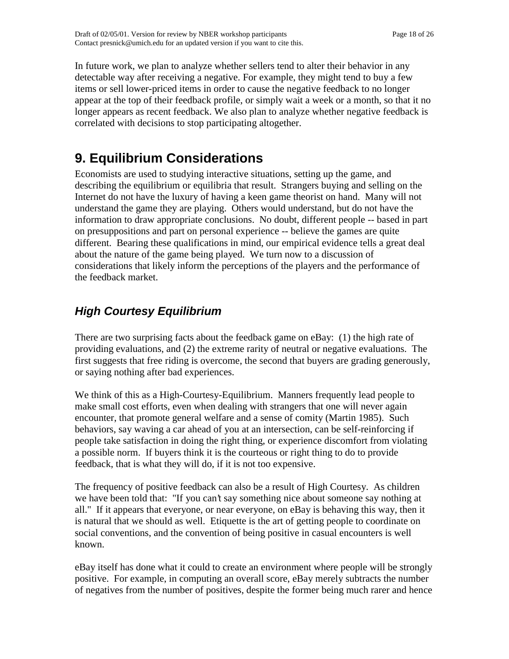In future work, we plan to analyze whether sellers tend to alter their behavior in any detectable way after receiving a negative. For example, they might tend to buy a few items or sell lower-priced items in order to cause the negative feedback to no longer appear at the top of their feedback profile, or simply wait a week or a month, so that it no longer appears as recent feedback. We also plan to analyze whether negative feedback is correlated with decisions to stop participating altogether.

## **9. Equilibrium Considerations**

Economists are used to studying interactive situations, setting up the game, and describing the equilibrium or equilibria that result. Strangers buying and selling on the Internet do not have the luxury of having a keen game theorist on hand. Many will not understand the game they are playing. Others would understand, but do not have the information to draw appropriate conclusions. No doubt, different people -- based in part on presuppositions and part on personal experience -- believe the games are quite different. Bearing these qualifications in mind, our empirical evidence tells a great deal about the nature of the game being played. We turn now to a discussion of considerations that likely inform the perceptions of the players and the performance of the feedback market.

## **High Courtesy Equilibrium**

There are two surprising facts about the feedback game on eBay: (1) the high rate of providing evaluations, and (2) the extreme rarity of neutral or negative evaluations. The first suggests that free riding is overcome, the second that buyers are grading generously, or saying nothing after bad experiences.

We think of this as a High-Courtesy-Equilibrium. Manners frequently lead people to make small cost efforts, even when dealing with strangers that one will never again encounter, that promote general welfare and a sense of comity (Martin 1985). Such behaviors, say waving a car ahead of you at an intersection, can be self-reinforcing if people take satisfaction in doing the right thing, or experience discomfort from violating a possible norm. If buyers think it is the courteous or right thing to do to provide feedback, that is what they will do, if it is not too expensive.

The frequency of positive feedback can also be a result of High Courtesy. As children we have been told that: "If you can't say something nice about someone say nothing at all." If it appears that everyone, or near everyone, on eBay is behaving this way, then it is natural that we should as well. Etiquette is the art of getting people to coordinate on social conventions, and the convention of being positive in casual encounters is well known.

eBay itself has done what it could to create an environment where people will be strongly positive. For example, in computing an overall score, eBay merely subtracts the number of negatives from the number of positives, despite the former being much rarer and hence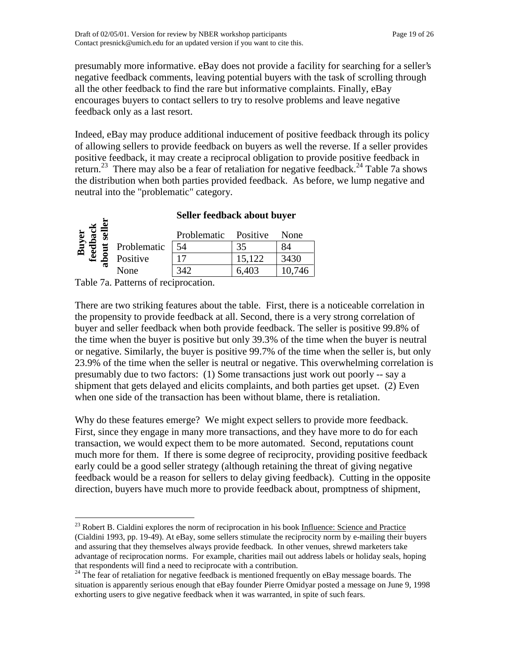presumably more informative. eBay does not provide a facility for searching for a seller's negative feedback comments, leaving potential buyers with the task of scrolling through all the other feedback to find the rare but informative complaints. Finally, eBay encourages buyers to contact sellers to try to resolve problems and leave negative feedback only as a last resort.

Indeed, eBay may produce additional inducement of positive feedback through its policy of allowing sellers to provide feedback on buyers as well the reverse. If a seller provides positive feedback, it may create a reciprocal obligation to provide positive feedback in return.<sup>23</sup> There may also be a fear of retaliation for negative feedback.<sup>24</sup> Table 7a shows the distribution when both parties provided feedback. As before, we lump negative and neutral into the "problematic" category.

|             | Seller feedback about buyer |        |        |  |  |  |
|-------------|-----------------------------|--------|--------|--|--|--|
|             | Problematic Positive        |        | None   |  |  |  |
| Problematic | 54                          | 35     | 84     |  |  |  |
| Positive    |                             | 15,122 | 3430   |  |  |  |
| None        |                             | 6,403  | 10,746 |  |  |  |

Table 7a. Patterns of reciprocation.

 $\overline{a}$ 

There are two striking features about the table. First, there is a noticeable correlation in the propensity to provide feedback at all. Second, there is a very strong correlation of buyer and seller feedback when both provide feedback. The seller is positive 99.8% of the time when the buyer is positive but only 39.3% of the time when the buyer is neutral or negative. Similarly, the buyer is positive 99.7% of the time when the seller is, but only 23.9% of the time when the seller is neutral or negative. This overwhelming correlation is presumably due to two factors: (1) Some transactions just work out poorly -- say a shipment that gets delayed and elicits complaints, and both parties get upset. (2) Even when one side of the transaction has been without blame, there is retaliation.

Why do these features emerge? We might expect sellers to provide more feedback. First, since they engage in many more transactions, and they have more to do for each transaction, we would expect them to be more automated. Second, reputations count much more for them. If there is some degree of reciprocity, providing positive feedback early could be a good seller strategy (although retaining the threat of giving negative feedback would be a reason for sellers to delay giving feedback). Cutting in the opposite direction, buyers have much more to provide feedback about, promptness of shipment,

<sup>&</sup>lt;sup>23</sup> Robert B. Cialdini explores the norm of reciprocation in his book Influence: Science and Practice (Cialdini 1993, pp. 19-49). At eBay, some sellers stimulate the reciprocity norm by e-mailing their buyers and assuring that they themselves always provide feedback. In other venues, shrewd marketers take advantage of reciprocation norms. For example, charities mail out address labels or holiday seals, hoping that respondents will find a need to reciprocate with a contribution.

<sup>&</sup>lt;sup>24</sup> The fear of retaliation for negative feedback is mentioned frequently on eBay message boards. The situation is apparently serious enough that eBay founder Pierre Omidyar posted a message on June 9, 1998 exhorting users to give negative feedback when it was warranted, in spite of such fears.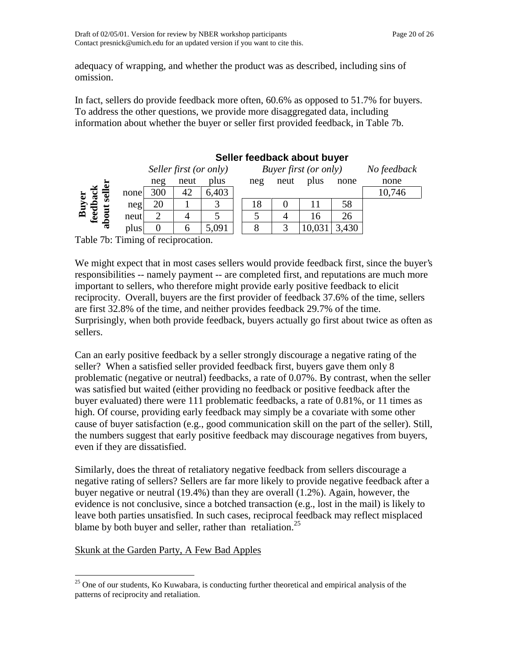adequacy of wrapping, and whether the product was as described, including sins of omission.

In fact, sellers do provide feedback more often, 60.6% as opposed to 51.7% for buyers. To address the other questions, we provide more disaggregated data, including information about whether the buyer or seller first provided feedback, in Table 7b.

|              |      | OCIICI ICCUNGUN ANUUL NUVCI |      |       |  |                       |      |      |       |             |
|--------------|------|-----------------------------|------|-------|--|-----------------------|------|------|-------|-------------|
|              |      | Seller first (or only)      |      |       |  | Buyer first (or only) |      |      |       | No feedback |
|              |      | neg                         | neut | plus  |  | neg                   | neut | plus | none  | none        |
| sel          | none | 300                         | 42   | 6,403 |  |                       |      |      |       | 10,746      |
| ÊĦ<br>≂      | neg  | 20                          |      |       |  | 18                    |      |      | 58    |             |
| $\mathbf{f}$ | neut |                             |      |       |  |                       |      | 16   | 26    |             |
| ಡ            | plus |                             |      | 5,091 |  |                       |      |      | 3,430 |             |

#### **Seller feedback about buyer**

Table 7b: Timing of reciprocation.

We might expect that in most cases sellers would provide feedback first, since the buyer's responsibilities -- namely payment -- are completed first, and reputations are much more important to sellers, who therefore might provide early positive feedback to elicit reciprocity. Overall, buyers are the first provider of feedback 37.6% of the time, sellers are first 32.8% of the time, and neither provides feedback 29.7% of the time. Surprisingly, when both provide feedback, buyers actually go first about twice as often as sellers.

Can an early positive feedback by a seller strongly discourage a negative rating of the seller? When a satisfied seller provided feedback first, buyers gave them only 8 problematic (negative or neutral) feedbacks, a rate of 0.07%. By contrast, when the seller was satisfied but waited (either providing no feedback or positive feedback after the buyer evaluated) there were 111 problematic feedbacks, a rate of 0.81%, or 11 times as high. Of course, providing early feedback may simply be a covariate with some other cause of buyer satisfaction (e.g., good communication skill on the part of the seller). Still, the numbers suggest that early positive feedback may discourage negatives from buyers, even if they are dissatisfied.

Similarly, does the threat of retaliatory negative feedback from sellers discourage a negative rating of sellers? Sellers are far more likely to provide negative feedback after a buyer negative or neutral (19.4%) than they are overall (1.2%). Again, however, the evidence is not conclusive, since a botched transaction (e.g., lost in the mail) is likely to leave both parties unsatisfied. In such cases, reciprocal feedback may reflect misplaced blame by both buyer and seller, rather than retaliation.<sup>25</sup>

#### Skunk at the Garden Party, A Few Bad Apples

 $\overline{a}$  $25$  One of our students, Ko Kuwabara, is conducting further theoretical and empirical analysis of the patterns of reciprocity and retaliation.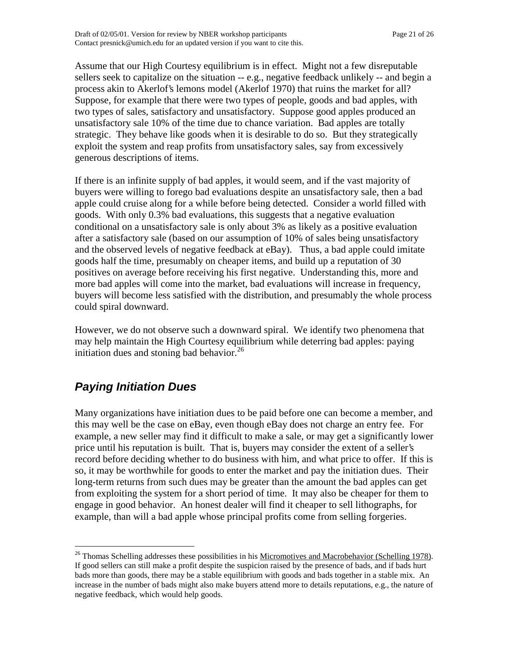Assume that our High Courtesy equilibrium is in effect. Might not a few disreputable sellers seek to capitalize on the situation -- e.g., negative feedback unlikely -- and begin a process akin to Akerlof's lemons model (Akerlof 1970) that ruins the market for all? Suppose, for example that there were two types of people, goods and bad apples, with two types of sales, satisfactory and unsatisfactory. Suppose good apples produced an unsatisfactory sale 10% of the time due to chance variation. Bad apples are totally strategic. They behave like goods when it is desirable to do so. But they strategically exploit the system and reap profits from unsatisfactory sales, say from excessively generous descriptions of items.

If there is an infinite supply of bad apples, it would seem, and if the vast majority of buyers were willing to forego bad evaluations despite an unsatisfactory sale, then a bad apple could cruise along for a while before being detected. Consider a world filled with goods. With only 0.3% bad evaluations, this suggests that a negative evaluation conditional on a unsatisfactory sale is only about 3% as likely as a positive evaluation after a satisfactory sale (based on our assumption of 10% of sales being unsatisfactory and the observed levels of negative feedback at eBay). Thus, a bad apple could imitate goods half the time, presumably on cheaper items, and build up a reputation of 30 positives on average before receiving his first negative. Understanding this, more and more bad apples will come into the market, bad evaluations will increase in frequency, buyers will become less satisfied with the distribution, and presumably the whole process could spiral downward.

However, we do not observe such a downward spiral. We identify two phenomena that may help maintain the High Courtesy equilibrium while deterring bad apples: paying initiation dues and stoning bad behavior. $^{26}$ 

### **Paying Initiation Dues**

 $\overline{a}$ 

Many organizations have initiation dues to be paid before one can become a member, and this may well be the case on eBay, even though eBay does not charge an entry fee. For example, a new seller may find it difficult to make a sale, or may get a significantly lower price until his reputation is built. That is, buyers may consider the extent of a seller's record before deciding whether to do business with him, and what price to offer. If this is so, it may be worthwhile for goods to enter the market and pay the initiation dues. Their long-term returns from such dues may be greater than the amount the bad apples can get from exploiting the system for a short period of time. It may also be cheaper for them to engage in good behavior. An honest dealer will find it cheaper to sell lithographs, for example, than will a bad apple whose principal profits come from selling forgeries.

<sup>&</sup>lt;sup>26</sup> Thomas Schelling addresses these possibilities in his Micromotives and Macrobehavior (Schelling 1978). If good sellers can still make a profit despite the suspicion raised by the presence of bads, and if bads hurt bads more than goods, there may be a stable equilibrium with goods and bads together in a stable mix. An increase in the number of bads might also make buyers attend more to details reputations, e.g., the nature of negative feedback, which would help goods.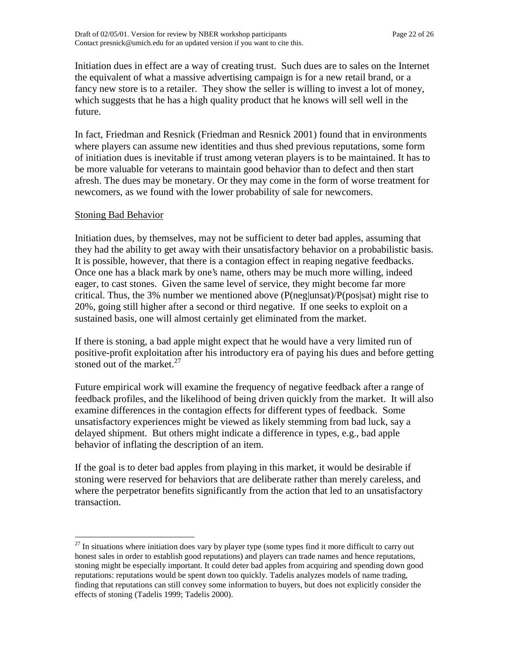Initiation dues in effect are a way of creating trust. Such dues are to sales on the Internet the equivalent of what a massive advertising campaign is for a new retail brand, or a fancy new store is to a retailer. They show the seller is willing to invest a lot of money, which suggests that he has a high quality product that he knows will sell well in the future.

In fact, Friedman and Resnick (Friedman and Resnick 2001) found that in environments where players can assume new identities and thus shed previous reputations, some form of initiation dues is inevitable if trust among veteran players is to be maintained. It has to be more valuable for veterans to maintain good behavior than to defect and then start afresh. The dues may be monetary. Or they may come in the form of worse treatment for newcomers, as we found with the lower probability of sale for newcomers.

#### Stoning Bad Behavior

 $\overline{a}$ 

Initiation dues, by themselves, may not be sufficient to deter bad apples, assuming that they had the ability to get away with their unsatisfactory behavior on a probabilistic basis. It is possible, however, that there is a contagion effect in reaping negative feedbacks. Once one has a black mark by one's name, others may be much more willing, indeed eager, to cast stones. Given the same level of service, they might become far more critical. Thus, the 3% number we mentioned above  $(P(neg|unsat)/P(pos|sat))$  might rise to 20%, going still higher after a second or third negative. If one seeks to exploit on a sustained basis, one will almost certainly get eliminated from the market.

If there is stoning, a bad apple might expect that he would have a very limited run of positive-profit exploitation after his introductory era of paying his dues and before getting stoned out of the market. $27$ 

Future empirical work will examine the frequency of negative feedback after a range of feedback profiles, and the likelihood of being driven quickly from the market. It will also examine differences in the contagion effects for different types of feedback. Some unsatisfactory experiences might be viewed as likely stemming from bad luck, say a delayed shipment. But others might indicate a difference in types, e.g., bad apple behavior of inflating the description of an item.

If the goal is to deter bad apples from playing in this market, it would be desirable if stoning were reserved for behaviors that are deliberate rather than merely careless, and where the perpetrator benefits significantly from the action that led to an unsatisfactory transaction.

 $27$  In situations where initiation does vary by player type (some types find it more difficult to carry out honest sales in order to establish good reputations) and players can trade names and hence reputations, stoning might be especially important. It could deter bad apples from acquiring and spending down good reputations: reputations would be spent down too quickly. Tadelis analyzes models of name trading, finding that reputations can still convey some information to buyers, but does not explicitly consider the effects of stoning (Tadelis 1999; Tadelis 2000).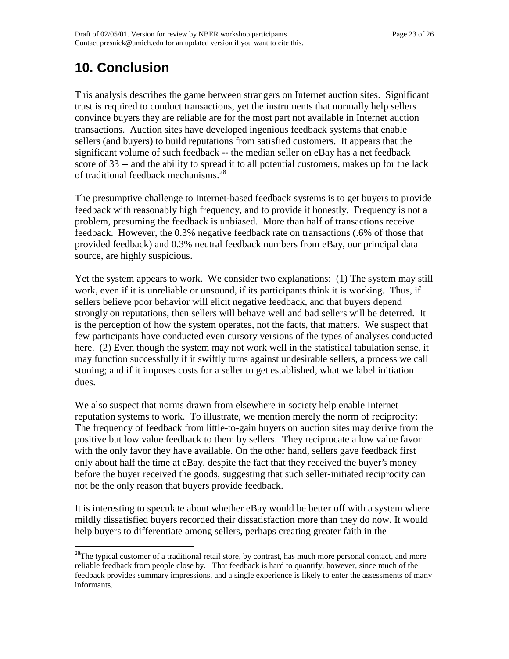# **10. Conclusion**

 $\overline{a}$ 

This analysis describes the game between strangers on Internet auction sites. Significant trust is required to conduct transactions, yet the instruments that normally help sellers convince buyers they are reliable are for the most part not available in Internet auction transactions. Auction sites have developed ingenious feedback systems that enable sellers (and buyers) to build reputations from satisfied customers. It appears that the significant volume of such feedback -- the median seller on eBay has a net feedback score of 33 -- and the ability to spread it to all potential customers, makes up for the lack of traditional feedback mechanisms.<sup>28</sup>

The presumptive challenge to Internet-based feedback systems is to get buyers to provide feedback with reasonably high frequency, and to provide it honestly. Frequency is not a problem, presuming the feedback is unbiased. More than half of transactions receive feedback. However, the 0.3% negative feedback rate on transactions (.6% of those that provided feedback) and 0.3% neutral feedback numbers from eBay, our principal data source, are highly suspicious.

Yet the system appears to work. We consider two explanations: (1) The system may still work, even if it is unreliable or unsound, if its participants think it is working. Thus, if sellers believe poor behavior will elicit negative feedback, and that buyers depend strongly on reputations, then sellers will behave well and bad sellers will be deterred. It is the perception of how the system operates, not the facts, that matters. We suspect that few participants have conducted even cursory versions of the types of analyses conducted here. (2) Even though the system may not work well in the statistical tabulation sense, it may function successfully if it swiftly turns against undesirable sellers, a process we call stoning; and if it imposes costs for a seller to get established, what we label initiation dues.

We also suspect that norms drawn from elsewhere in society help enable Internet reputation systems to work. To illustrate, we mention merely the norm of reciprocity: The frequency of feedback from little-to-gain buyers on auction sites may derive from the positive but low value feedback to them by sellers. They reciprocate a low value favor with the only favor they have available. On the other hand, sellers gave feedback first only about half the time at eBay, despite the fact that they received the buyer's money before the buyer received the goods, suggesting that such seller-initiated reciprocity can not be the only reason that buyers provide feedback.

It is interesting to speculate about whether eBay would be better off with a system where mildly dissatisfied buyers recorded their dissatisfaction more than they do now. It would help buyers to differentiate among sellers, perhaps creating greater faith in the

 $28$ The typical customer of a traditional retail store, by contrast, has much more personal contact, and more reliable feedback from people close by. That feedback is hard to quantify, however, since much of the feedback provides summary impressions, and a single experience is likely to enter the assessments of many informants.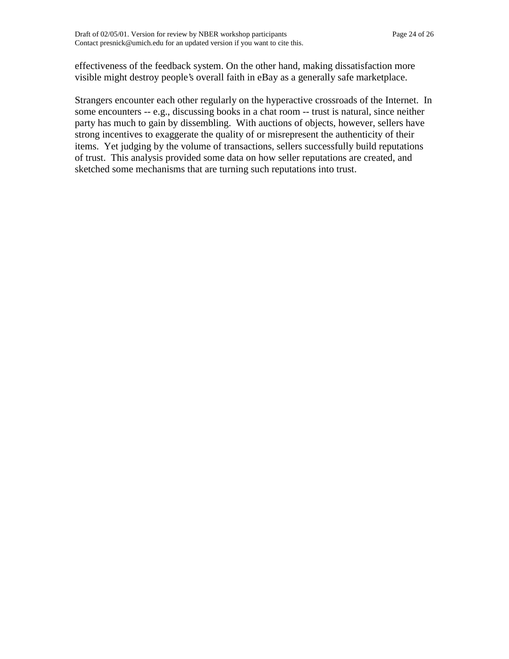effectiveness of the feedback system. On the other hand, making dissatisfaction more visible might destroy people's overall faith in eBay as a generally safe marketplace.

Strangers encounter each other regularly on the hyperactive crossroads of the Internet. In some encounters -- e.g., discussing books in a chat room -- trust is natural, since neither party has much to gain by dissembling. With auctions of objects, however, sellers have strong incentives to exaggerate the quality of or misrepresent the authenticity of their items. Yet judging by the volume of transactions, sellers successfully build reputations of trust. This analysis provided some data on how seller reputations are created, and sketched some mechanisms that are turning such reputations into trust.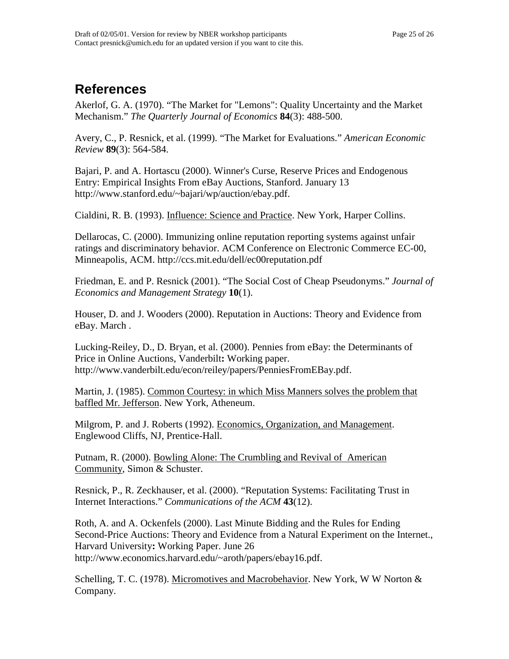#### **References**

Akerlof, G. A. (1970). "The Market for "Lemons": Quality Uncertainty and the Market Mechanism." *The Quarterly Journal of Economics* **84**(3): 488-500.

Avery, C., P. Resnick, et al. (1999). "The Market for Evaluations." *American Economic Review* **89**(3): 564-584.

Bajari, P. and A. Hortascu (2000). Winner's Curse, Reserve Prices and Endogenous Entry: Empirical Insights From eBay Auctions, Stanford. January 13 http://www.stanford.edu/~bajari/wp/auction/ebay.pdf.

Cialdini, R. B. (1993). Influence: Science and Practice. New York, Harper Collins.

Dellarocas, C. (2000). Immunizing online reputation reporting systems against unfair ratings and discriminatory behavior. ACM Conference on Electronic Commerce EC-00, Minneapolis, ACM. http://ccs.mit.edu/dell/ec00reputation.pdf

Friedman, E. and P. Resnick (2001). "The Social Cost of Cheap Pseudonyms." *Journal of Economics and Management Strategy* **10**(1).

Houser, D. and J. Wooders (2000). Reputation in Auctions: Theory and Evidence from eBay. March .

Lucking-Reiley, D., D. Bryan, et al. (2000). Pennies from eBay: the Determinants of Price in Online Auctions, Vanderbilt**:** Working paper. http://www.vanderbilt.edu/econ/reiley/papers/PenniesFromEBay.pdf.

Martin, J. (1985). Common Courtesy: in which Miss Manners solves the problem that baffled Mr. Jefferson. New York, Atheneum.

Milgrom, P. and J. Roberts (1992). Economics, Organization, and Management. Englewood Cliffs, NJ, Prentice-Hall.

Putnam, R. (2000). Bowling Alone: The Crumbling and Revival of American Community, Simon & Schuster.

Resnick, P., R. Zeckhauser, et al. (2000). "Reputation Systems: Facilitating Trust in Internet Interactions." *Communications of the ACM* **43**(12).

Roth, A. and A. Ockenfels (2000). Last Minute Bidding and the Rules for Ending Second-Price Auctions: Theory and Evidence from a Natural Experiment on the Internet., Harvard University**:** Working Paper. June 26 http://www.economics.harvard.edu/~aroth/papers/ebay16.pdf.

Schelling, T. C. (1978). Micromotives and Macrobehavior. New York, W W Norton & Company.